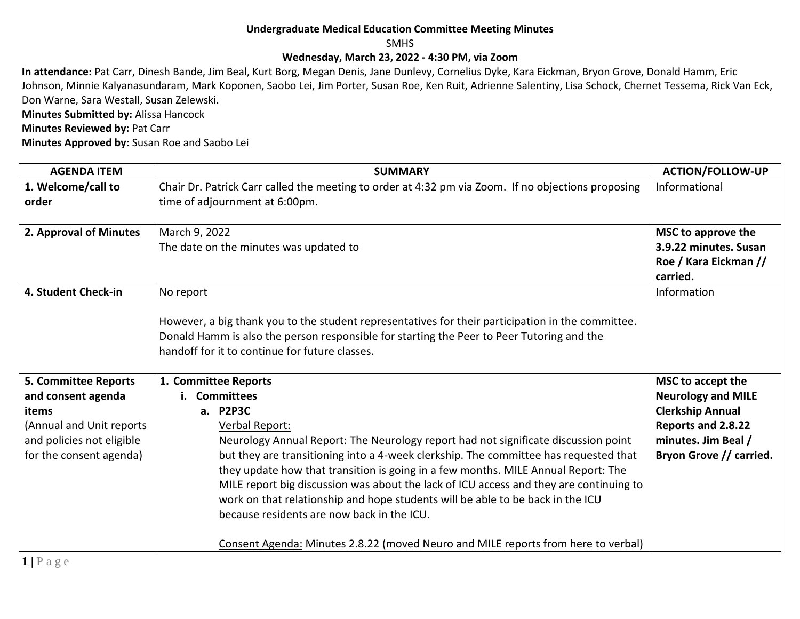#### **Undergraduate Medical Education Committee Meeting Minutes**

SMHS

#### **Wednesday, March 23, 2022 - 4:30 PM, via Zoom**

**In attendance:** Pat Carr, Dinesh Bande, Jim Beal, Kurt Borg, Megan Denis, Jane Dunlevy, Cornelius Dyke, Kara Eickman, Bryon Grove, Donald Hamm, Eric Johnson, Minnie Kalyanasundaram, Mark Koponen, Saobo Lei, Jim Porter, Susan Roe, Ken Ruit, Adrienne Salentiny, Lisa Schock, Chernet Tessema, Rick Van Eck, Don Warne, Sara Westall, Susan Zelewski.

**Minutes Submitted by:** Alissa Hancock

**Minutes Reviewed by: Pat Carr** 

**Minutes Approved by:** Susan Roe and Saobo Lei

| <b>AGENDA ITEM</b>                                                                                                                             | <b>SUMMARY</b>                                                                                                                                                                                                                                                                                                                                                                                                                                                                                                                                                                                                                                                  | <b>ACTION/FOLLOW-UP</b>                                                                                                                           |
|------------------------------------------------------------------------------------------------------------------------------------------------|-----------------------------------------------------------------------------------------------------------------------------------------------------------------------------------------------------------------------------------------------------------------------------------------------------------------------------------------------------------------------------------------------------------------------------------------------------------------------------------------------------------------------------------------------------------------------------------------------------------------------------------------------------------------|---------------------------------------------------------------------------------------------------------------------------------------------------|
| 1. Welcome/call to<br>order                                                                                                                    | Chair Dr. Patrick Carr called the meeting to order at 4:32 pm via Zoom. If no objections proposing<br>time of adjournment at 6:00pm.                                                                                                                                                                                                                                                                                                                                                                                                                                                                                                                            | Informational                                                                                                                                     |
| 2. Approval of Minutes                                                                                                                         | March 9, 2022<br>The date on the minutes was updated to                                                                                                                                                                                                                                                                                                                                                                                                                                                                                                                                                                                                         | MSC to approve the<br>3.9.22 minutes. Susan<br>Roe / Kara Eickman //<br>carried.                                                                  |
| 4. Student Check-in                                                                                                                            | No report<br>However, a big thank you to the student representatives for their participation in the committee.<br>Donald Hamm is also the person responsible for starting the Peer to Peer Tutoring and the<br>handoff for it to continue for future classes.                                                                                                                                                                                                                                                                                                                                                                                                   | Information                                                                                                                                       |
| <b>5. Committee Reports</b><br>and consent agenda<br>items<br>(Annual and Unit reports<br>and policies not eligible<br>for the consent agenda) | 1. Committee Reports<br><b>Committees</b><br>Ĭ.<br>a. P2P3C<br>Verbal Report:<br>Neurology Annual Report: The Neurology report had not significate discussion point<br>but they are transitioning into a 4-week clerkship. The committee has requested that<br>they update how that transition is going in a few months. MILE Annual Report: The<br>MILE report big discussion was about the lack of ICU access and they are continuing to<br>work on that relationship and hope students will be able to be back in the ICU<br>because residents are now back in the ICU.<br>Consent Agenda: Minutes 2.8.22 (moved Neuro and MILE reports from here to verbal) | MSC to accept the<br><b>Neurology and MILE</b><br><b>Clerkship Annual</b><br>Reports and 2.8.22<br>minutes. Jim Beal /<br>Bryon Grove // carried. |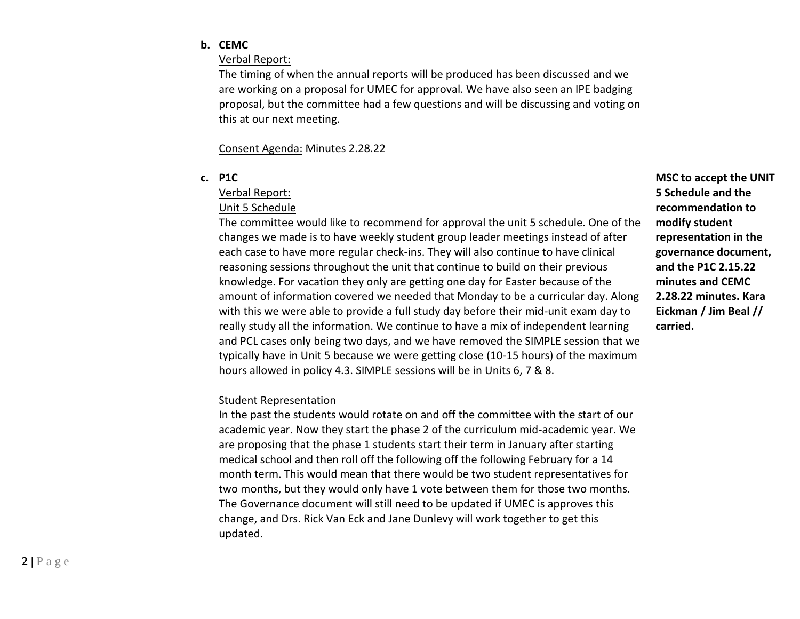#### **b. CEMC**

## Verbal Report:

The timing of when the annual reports will be produced has been discussed and we are working on a proposal for UMEC for approval. We have also seen an IPE badging proposal, but the committee had a few questions and will be discussing and voting on this at our next meeting.

### Consent Agenda: Minutes 2.28.22

### **c. P1C**

## Verbal Report:

## Unit 5 Schedule

The committee would like to recommend for approval the unit 5 schedule. One of the changes we made is to have weekly student group leader meetings instead of after each case to have more regular check-ins. They will also continue to have clinical reasoning sessions throughout the unit that continue to build on their previous knowledge. For vacation they only are getting one day for Easter because of the amount of information covered we needed that Monday to be a curricular day. Along with this we were able to provide a full study day before their mid-unit exam day to really study all the information. We continue to have a mix of independent learning and PCL cases only being two days, and we have removed the SIMPLE session that we typically have in Unit 5 because we were getting close (10-15 hours) of the maximum hours allowed in policy 4.3. SIMPLE sessions will be in Units 6, 7 & 8.

# Student Representation

In the past the students would rotate on and off the committee with the start of our academic year. Now they start the phase 2 of the curriculum mid-academic year. We are proposing that the phase 1 students start their term in January after starting medical school and then roll off the following off the following February for a 14 month term. This would mean that there would be two student representatives for two months, but they would only have 1 vote between them for those two months. The Governance document will still need to be updated if UMEC is approves this change, and Drs. Rick Van Eck and Jane Dunlevy will work together to get this updated.

**MSC to accept the UNIT 5 Schedule and the recommendation to modify student representation in the governance document, and the P1C 2.15.22 minutes and CEMC 2.28.22 minutes. Kara Eickman / Jim Beal // carried.**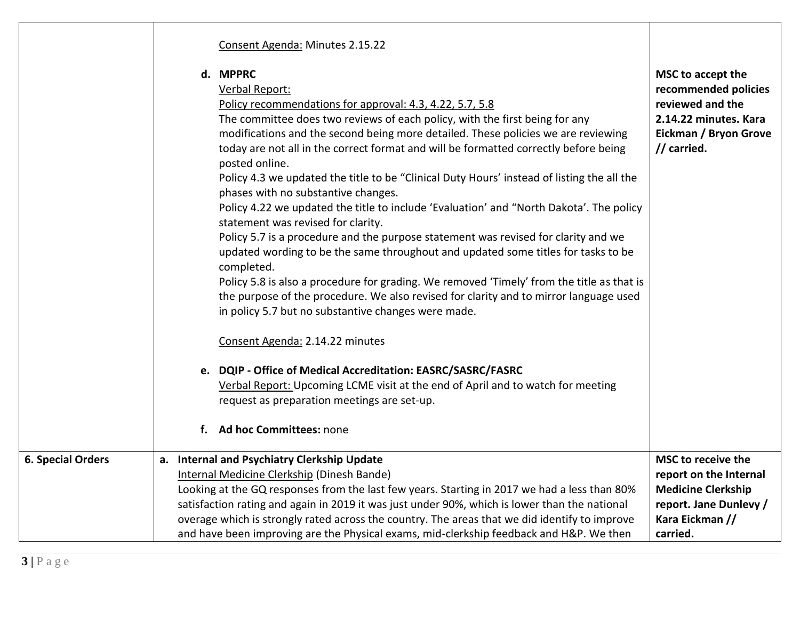|                          | Consent Agenda: Minutes 2.15.22                                                                                                                                                                                                                                                                                                                                                                                                                                                                                                                                                                                                                                                                                                                                                                                                                                                                                                                                                                                                                                                                                                                                                                                                                                                                                                                     |                                                                                                                                |
|--------------------------|-----------------------------------------------------------------------------------------------------------------------------------------------------------------------------------------------------------------------------------------------------------------------------------------------------------------------------------------------------------------------------------------------------------------------------------------------------------------------------------------------------------------------------------------------------------------------------------------------------------------------------------------------------------------------------------------------------------------------------------------------------------------------------------------------------------------------------------------------------------------------------------------------------------------------------------------------------------------------------------------------------------------------------------------------------------------------------------------------------------------------------------------------------------------------------------------------------------------------------------------------------------------------------------------------------------------------------------------------------|--------------------------------------------------------------------------------------------------------------------------------|
|                          | d. MPPRC<br>Verbal Report:<br>Policy recommendations for approval: 4.3, 4.22, 5.7, 5.8<br>The committee does two reviews of each policy, with the first being for any<br>modifications and the second being more detailed. These policies we are reviewing<br>today are not all in the correct format and will be formatted correctly before being<br>posted online.<br>Policy 4.3 we updated the title to be "Clinical Duty Hours' instead of listing the all the<br>phases with no substantive changes.<br>Policy 4.22 we updated the title to include 'Evaluation' and "North Dakota'. The policy<br>statement was revised for clarity.<br>Policy 5.7 is a procedure and the purpose statement was revised for clarity and we<br>updated wording to be the same throughout and updated some titles for tasks to be<br>completed.<br>Policy 5.8 is also a procedure for grading. We removed 'Timely' from the title as that is<br>the purpose of the procedure. We also revised for clarity and to mirror language used<br>in policy 5.7 but no substantive changes were made.<br>Consent Agenda: 2.14.22 minutes<br>e. DQIP - Office of Medical Accreditation: EASRC/SASRC/FASRC<br>Verbal Report: Upcoming LCME visit at the end of April and to watch for meeting<br>request as preparation meetings are set-up.<br>f. Ad hoc Committees: none | MSC to accept the<br>recommended policies<br>reviewed and the<br>2.14.22 minutes. Kara<br>Eickman / Bryon Grove<br>// carried. |
| <b>6. Special Orders</b> | a. Internal and Psychiatry Clerkship Update                                                                                                                                                                                                                                                                                                                                                                                                                                                                                                                                                                                                                                                                                                                                                                                                                                                                                                                                                                                                                                                                                                                                                                                                                                                                                                         | MSC to receive the                                                                                                             |
|                          | Internal Medicine Clerkship (Dinesh Bande)                                                                                                                                                                                                                                                                                                                                                                                                                                                                                                                                                                                                                                                                                                                                                                                                                                                                                                                                                                                                                                                                                                                                                                                                                                                                                                          | report on the Internal                                                                                                         |
|                          | Looking at the GQ responses from the last few years. Starting in 2017 we had a less than 80%                                                                                                                                                                                                                                                                                                                                                                                                                                                                                                                                                                                                                                                                                                                                                                                                                                                                                                                                                                                                                                                                                                                                                                                                                                                        | <b>Medicine Clerkship</b>                                                                                                      |
|                          | satisfaction rating and again in 2019 it was just under 90%, which is lower than the national                                                                                                                                                                                                                                                                                                                                                                                                                                                                                                                                                                                                                                                                                                                                                                                                                                                                                                                                                                                                                                                                                                                                                                                                                                                       | report. Jane Dunlevy /                                                                                                         |
|                          | overage which is strongly rated across the country. The areas that we did identify to improve                                                                                                                                                                                                                                                                                                                                                                                                                                                                                                                                                                                                                                                                                                                                                                                                                                                                                                                                                                                                                                                                                                                                                                                                                                                       | Kara Eickman //                                                                                                                |
|                          | and have been improving are the Physical exams, mid-clerkship feedback and H&P. We then                                                                                                                                                                                                                                                                                                                                                                                                                                                                                                                                                                                                                                                                                                                                                                                                                                                                                                                                                                                                                                                                                                                                                                                                                                                             | carried.                                                                                                                       |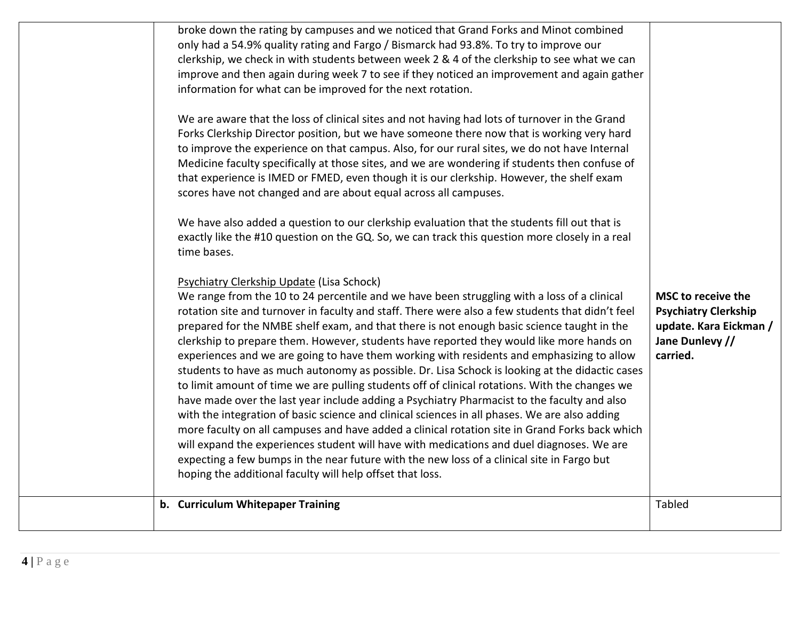| broke down the rating by campuses and we noticed that Grand Forks and Minot combined<br>only had a 54.9% quality rating and Fargo / Bismarck had 93.8%. To try to improve our<br>clerkship, we check in with students between week 2 & 4 of the clerkship to see what we can<br>improve and then again during week 7 to see if they noticed an improvement and again gather<br>information for what can be improved for the next rotation.<br>We are aware that the loss of clinical sites and not having had lots of turnover in the Grand<br>Forks Clerkship Director position, but we have someone there now that is working very hard<br>to improve the experience on that campus. Also, for our rural sites, we do not have Internal<br>Medicine faculty specifically at those sites, and we are wondering if students then confuse of<br>that experience is IMED or FMED, even though it is our clerkship. However, the shelf exam<br>scores have not changed and are about equal across all campuses.<br>We have also added a question to our clerkship evaluation that the students fill out that is<br>exactly like the #10 question on the GQ. So, we can track this question more closely in a real<br>time bases.<br>Psychiatry Clerkship Update (Lisa Schock)<br>We range from the 10 to 24 percentile and we have been struggling with a loss of a clinical<br>rotation site and turnover in faculty and staff. There were also a few students that didn't feel<br>prepared for the NMBE shelf exam, and that there is not enough basic science taught in the<br>clerkship to prepare them. However, students have reported they would like more hands on<br>experiences and we are going to have them working with residents and emphasizing to allow<br>students to have as much autonomy as possible. Dr. Lisa Schock is looking at the didactic cases<br>to limit amount of time we are pulling students off of clinical rotations. With the changes we<br>have made over the last year include adding a Psychiatry Pharmacist to the faculty and also | <b>MSC to receive the</b><br><b>Psychiatry Clerkship</b><br>update. Kara Eickman /<br>Jane Dunlevy //<br>carried. |
|--------------------------------------------------------------------------------------------------------------------------------------------------------------------------------------------------------------------------------------------------------------------------------------------------------------------------------------------------------------------------------------------------------------------------------------------------------------------------------------------------------------------------------------------------------------------------------------------------------------------------------------------------------------------------------------------------------------------------------------------------------------------------------------------------------------------------------------------------------------------------------------------------------------------------------------------------------------------------------------------------------------------------------------------------------------------------------------------------------------------------------------------------------------------------------------------------------------------------------------------------------------------------------------------------------------------------------------------------------------------------------------------------------------------------------------------------------------------------------------------------------------------------------------------------------------------------------------------------------------------------------------------------------------------------------------------------------------------------------------------------------------------------------------------------------------------------------------------------------------------------------------------------------------------------------------------------------------------------------------------------------------------------------------------------------------------------|-------------------------------------------------------------------------------------------------------------------|
| with the integration of basic science and clinical sciences in all phases. We are also adding<br>more faculty on all campuses and have added a clinical rotation site in Grand Forks back which<br>will expand the experiences student will have with medications and duel diagnoses. We are<br>expecting a few bumps in the near future with the new loss of a clinical site in Fargo but<br>hoping the additional faculty will help offset that loss.                                                                                                                                                                                                                                                                                                                                                                                                                                                                                                                                                                                                                                                                                                                                                                                                                                                                                                                                                                                                                                                                                                                                                                                                                                                                                                                                                                                                                                                                                                                                                                                                                  |                                                                                                                   |
| b. Curriculum Whitepaper Training                                                                                                                                                                                                                                                                                                                                                                                                                                                                                                                                                                                                                                                                                                                                                                                                                                                                                                                                                                                                                                                                                                                                                                                                                                                                                                                                                                                                                                                                                                                                                                                                                                                                                                                                                                                                                                                                                                                                                                                                                                        | <b>Tabled</b>                                                                                                     |
|                                                                                                                                                                                                                                                                                                                                                                                                                                                                                                                                                                                                                                                                                                                                                                                                                                                                                                                                                                                                                                                                                                                                                                                                                                                                                                                                                                                                                                                                                                                                                                                                                                                                                                                                                                                                                                                                                                                                                                                                                                                                          |                                                                                                                   |